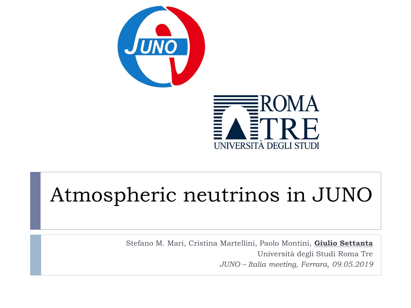



# Atmospheric neutrinos in JUNO

Stefano M. Mari, Cristina Martellini, Paolo Montini, **Giulio Settanta** Università degli Studi Roma Tre *JUNO – Italia meeting, Ferrara, 09.05.2019*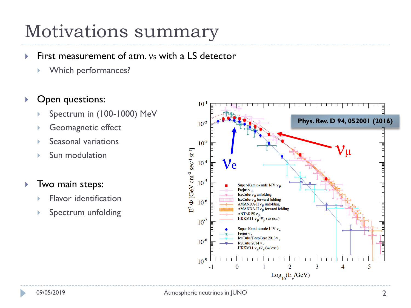### Motivations summary

#### First measurement of atm.  $v_s$  with a LS detector

Which performances?

#### ▶ Open questions:

- Spectrum in (100-1000) MeV
- Geomagnetic effect
- Seasonal variations
- Sun modulation

#### **Two main steps:**

- Flavor identification
- Spectrum unfolding

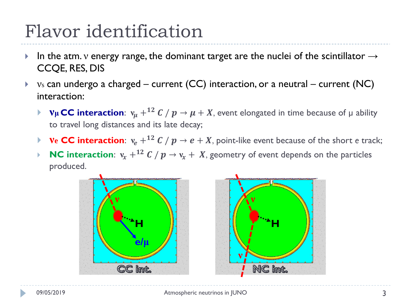- In the atm. v energy range, the dominant target are the nuclei of the scintillator  $\rightarrow$ CCQE, RES, DIS
- $\triangleright$  vs can undergo a charged current (CC) interaction, or a neutral current (NC) interaction:
	- *ν***<sub>μ</sub> CC interaction**:  $v_{\mu} + {}^{12}C / p \rightarrow \mu + X$ , event elongated in time because of  $\mu$  ability to travel long distances and its late decay;
	- **• ve CC interaction**:  $v_e + {}^{12}C / p \rightarrow e + X$ , point-like event because of the short *e* track;
	- **NC interaction:**  $v_x + {}^{12}C / p \rightarrow v_x + X$ , geometry of event depends on the particles produced.

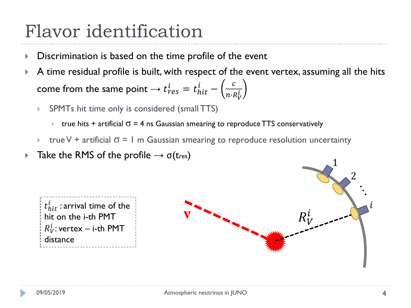- Discrimination is based on the time profile of the event
- A time residual profile is built, with respect of the event vertex, assuming all the hits come from the same point  $\rightarrow t_{res}^i=t_{hit}^i-\left(\frac{c}{n\cdot k}\right)$  $n$ ∙ $R_V^{\dot{t}}$ 
	- SPMTs hit time only is considered (small TTS)
		- $\triangleright$  true hits + artificial  $\sigma = 4$  ns Gaussian smearing to reproduce TTS conservatively
	- true V + artificial  $\sigma$  = 1 m Gaussian smearing to reproduce resolution uncertainty
- **Take the RMS of the profile**  $\rightarrow$   $\sigma$ (tres)



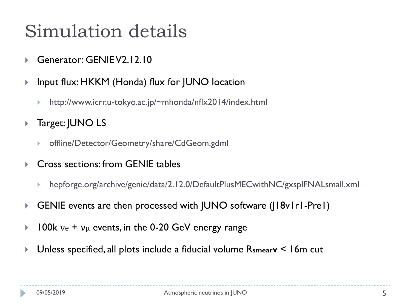### Simulation details

- Generator: GENIE V2.12.10
- ▶ Input flux: HKKM (Honda) flux for JUNO location
	- http://www.icrr.u-tokyo.ac.jp/~mhonda/nflx2014/index.html
- ▶ Target: JUNO LS
	- offline/Detector/Geometry/share/CdGeom.gdml
- ▶ Cross sections: from GENIE tables
	- hepforge.org/archive/genie/data/2.12.0/DefaultPlusMECwithNC/gxsplFNALsmall.xml
- GENIE events are then processed with JUNO software (J18v1r1-Pre1)
- $\triangleright$  100k  $ve + v_{\mu}$  events, in the 0-20 GeV energy range
- Unless specified, all plots include a fiducial volume R**smearV** < 16m cut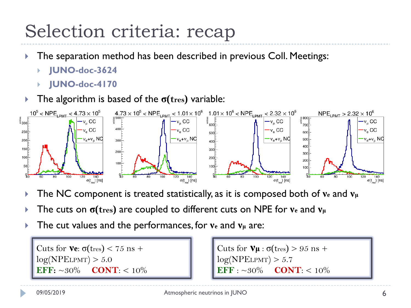### Selection criteria: recap

- **The separation method has been described in previous Coll. Meetings:** 
	- **JUNO-doc-3624**
	- **JUNO-doc-4170**
- **Figure 1** The algorithm is based of the  $\sigma$ (*tres*) variable:



- The NC component is treated statistically, as it is composed both of **ν<sup>e</sup>** and **ν<sup>μ</sup>**
- The cuts on **σ(tres)** are coupled to different cuts on NPE for **ν<sup>e</sup>** and **ν<sup>μ</sup>**
- The cut values and the performances, for **ν<sup>e</sup>** and **ν<sup>μ</sup>** are:

Cuts for **νe**: σ(tres) < 75 ns +  $log(NPELPMT) > 5.0$ **EFF:**  $\sim 30\%$  **CONT**: <  $10\%$ 

Cuts for  $V\mu$  :  $\sigma$ (tres) > 95 ns +  $log(NPELPMT) > 5.7$  $EFF : ~30\%$  **CONT**: < 10%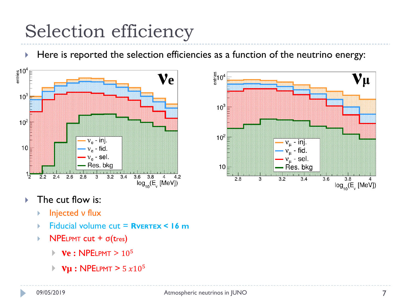# Selection efficiency

 $\blacktriangleright$  Here is reported the selection efficiencies as a function of the neutrino energy:





#### $\triangleright$  The cut flow is:

- **Injected ν flux**
- Fiducial volume cut = **RVERTEX < 16 m**
- $\triangleright$  NPELPMT cut +  $\sigma$ (tres)
	- **νe :** NPELPMT **>** 10<sup>5</sup>
	- *Vµ* : NPELPMT >  $5 x 10^5$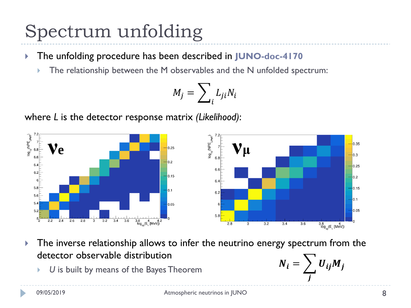### Spectrum unfolding

- The unfolding procedure has been described in **JUNO-doc-4170**
	- The relationship between the M observables and the N unfolded spectrum:

$$
M_j = \sum_i L_{ji} N_i
$$

where *L* is the detector response matrix *(Likelihood)*:



**The inverse relationship allows to infer the neutrino energy spectrum from the** detector observable distribution

*U* is built by means of the Bayes Theorem

$$
N_i = \sum_j U_{ij} M_j
$$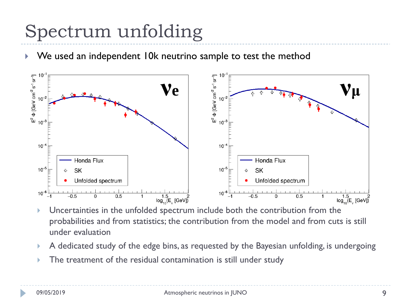# Spectrum unfolding

We used an independent 10k neutrino sample to test the method



- Uncertainties in the unfolded spectrum include both the contribution from the probabilities and from statistics; the contribution from the model and from cuts is still under evaluation
- A dedicated study of the edge bins, as requested by the Bayesian unfolding, is undergoing
- The treatment of the residual contamination is still under study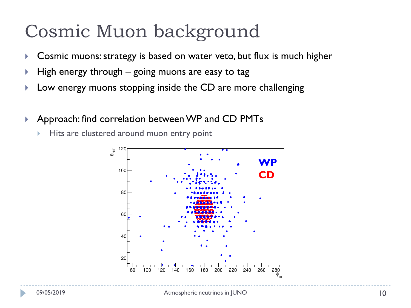#### Cosmic Muon background

- ▶ Cosmic muons: strategy is based on water veto, but flux is much higher
- $\blacktriangleright$  High energy through going muons are easy to tag
- **Low energy muons stopping inside the CD are more challenging**
- ▶ Approach: find correlation between WP and CD PMTs
	- Hits are clustered around muon entry point

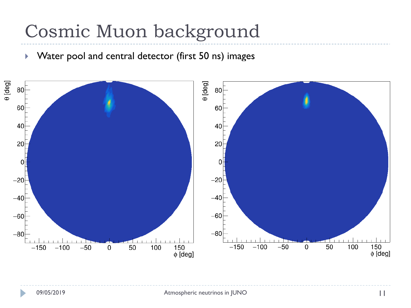### Cosmic Muon background

▶ Water pool and central detector (first 50 ns) images

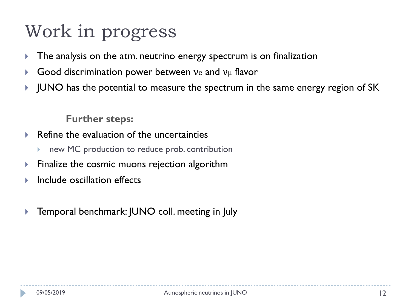### Work in progress

- $\triangleright$  The analysis on the atm. neutrino energy spectrum is on finalization
- Good discrimination power between  $ve$  and  $v<sub>\mu</sub>$  flavor
- I JUNO has the potential to measure the spectrum in the same energy region of SK

**Further steps:**

- $\blacktriangleright$  Refine the evaluation of the uncertainties
	- new MC production to reduce prob. contribution
- $\triangleright$  Finalize the cosmic muons rejection algorithm
- **Include oscillation effects**
- ▶ Temporal benchmark: JUNO coll. meeting in July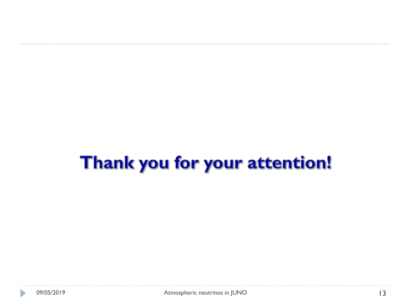# Thank you for your attention!

D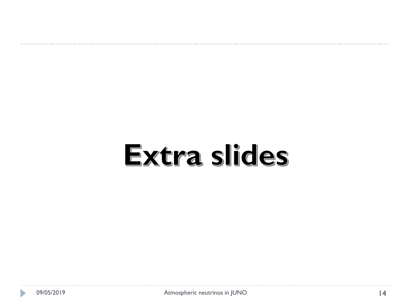# Extra slides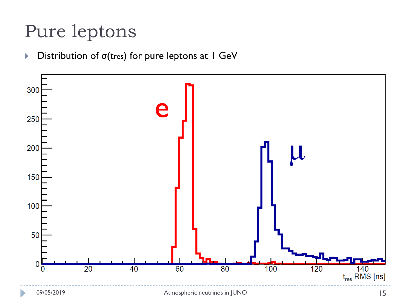### Pure leptons

#### $\triangleright$  Distribution of  $\sigma$ (tres) for pure leptons at I GeV

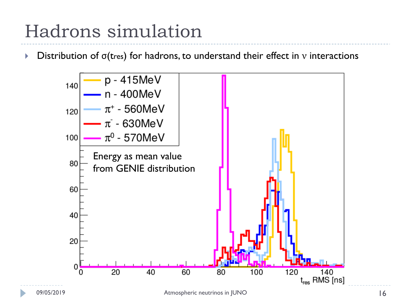### Hadrons simulation

**Distribution of**  $\sigma$ **(tres) for hadrons, to understand their effect in v interactions** 

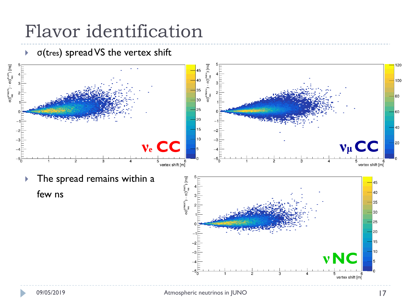$\triangleright$   $\sigma$ (tres) spread VS the vertex shift

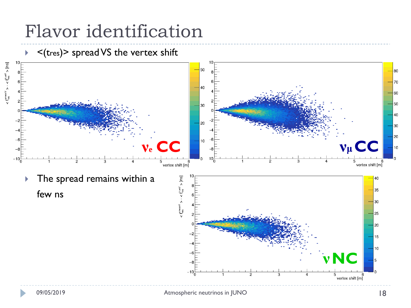

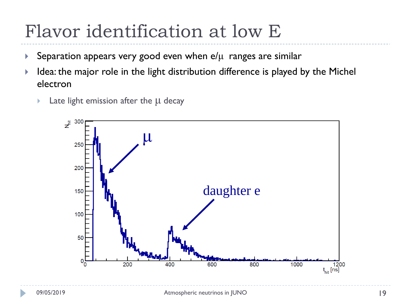### Flavor identification at low E

- Separation appears very good even when  $e/\mu$  ranges are similar
- $\blacktriangleright$  Idea: the major role in the light distribution difference is played by the Michel electron
	- Late light emission after the μ decay